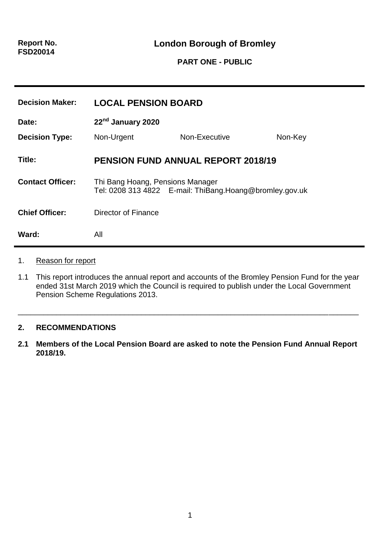## **PART ONE - PUBLIC**

| <b>Decision Maker:</b>  | <b>LOCAL PENSION BOARD</b>                                                                  |               |         |
|-------------------------|---------------------------------------------------------------------------------------------|---------------|---------|
| Date:                   | 22 <sup>nd</sup> January 2020                                                               |               |         |
| <b>Decision Type:</b>   | Non-Urgent                                                                                  | Non-Executive | Non-Key |
| Title:                  | <b>PENSION FUND ANNUAL REPORT 2018/19</b>                                                   |               |         |
| <b>Contact Officer:</b> | Thi Bang Hoang, Pensions Manager<br>Tel: 0208 313 4822 E-mail: ThiBang.Hoang@bromley.gov.uk |               |         |
| <b>Chief Officer:</b>   | Director of Finance                                                                         |               |         |
| Ward:                   | All                                                                                         |               |         |

#### 1. Reason for report

1.1 This report introduces the annual report and accounts of the Bromley Pension Fund for the year ended 31st March 2019 which the Council is required to publish under the Local Government Pension Scheme Regulations 2013.

\_\_\_\_\_\_\_\_\_\_\_\_\_\_\_\_\_\_\_\_\_\_\_\_\_\_\_\_\_\_\_\_\_\_\_\_\_\_\_\_\_\_\_\_\_\_\_\_\_\_\_\_\_\_\_\_\_\_\_\_\_\_\_\_\_\_\_\_\_\_\_\_\_\_\_\_\_\_\_\_

### **2. RECOMMENDATIONS**

**2.1 Members of the Local Pension Board are asked to note the Pension Fund Annual Report 2018/19.**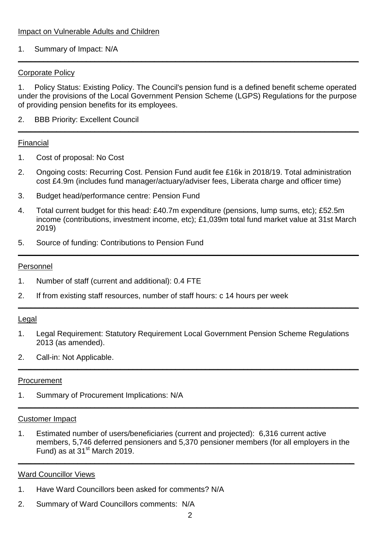### 1. Summary of Impact: N/A

### Corporate Policy

1. Policy Status: Existing Policy. The Council's pension fund is a defined benefit scheme operated under the provisions of the Local Government Pension Scheme (LGPS) Regulations for the purpose of providing pension benefits for its employees.

**\_\_\_\_\_\_\_\_\_\_\_\_\_\_\_\_\_\_\_\_\_\_\_\_\_\_\_\_\_\_\_\_\_\_\_\_\_\_\_\_\_\_\_\_\_\_\_\_\_\_\_\_\_\_\_\_\_\_\_\_\_\_\_\_\_\_\_\_\_\_\_\_\_\_\_\_\_\_\_\_**

**\_\_\_\_\_\_\_\_\_\_\_\_\_\_\_\_\_\_\_\_\_\_\_\_\_\_\_\_\_\_\_\_\_\_\_\_\_\_\_\_\_\_\_\_\_\_\_\_\_\_\_\_\_\_\_\_\_\_\_\_\_\_\_\_\_\_\_\_\_\_\_\_\_\_\_\_\_\_\_\_**

2. BBB Priority: Excellent Council

#### Financial

- 1. Cost of proposal: No Cost
- 2. Ongoing costs: Recurring Cost. Pension Fund audit fee £16k in 2018/19. Total administration cost £4.9m (includes fund manager/actuary/adviser fees, Liberata charge and officer time)
- 3. Budget head/performance centre: Pension Fund
- 4. Total current budget for this head: £40.7m expenditure (pensions, lump sums, etc); £52.5m income (contributions, investment income, etc); £1,039m total fund market value at 31st March 2019)

**\_\_\_\_\_\_\_\_\_\_\_\_\_\_\_\_\_\_\_\_\_\_\_\_\_\_\_\_\_\_\_\_\_\_\_\_\_\_\_\_\_\_\_\_\_\_\_\_\_\_\_\_\_\_\_\_\_\_\_\_\_\_\_\_\_\_\_\_\_\_\_\_\_\_\_\_\_\_\_\_**

**\_\_\_\_\_\_\_\_\_\_\_\_\_\_\_\_\_\_\_\_\_\_\_\_\_\_\_\_\_\_\_\_\_\_\_\_\_\_\_\_\_\_\_\_\_\_\_\_\_\_\_\_\_\_\_\_\_\_\_\_\_\_\_\_\_\_\_\_\_\_\_\_\_\_\_\_\_\_\_\_**

5. Source of funding: Contributions to Pension Fund

#### Personnel

- 1. Number of staff (current and additional): 0.4 FTE
- 2. If from existing staff resources, number of staff hours: c 14 hours per week

#### Legal

1. Legal Requirement: Statutory Requirement Local Government Pension Scheme Regulations 2013 (as amended).

**\_\_\_\_\_\_\_\_\_\_\_\_\_\_\_\_\_\_\_\_\_\_\_\_\_\_\_\_\_\_\_\_\_\_\_\_\_\_\_\_\_\_\_\_\_\_\_\_\_\_\_\_\_\_\_\_\_\_\_\_\_\_\_\_\_\_\_\_\_\_\_\_\_\_\_\_\_\_\_\_**

**\_\_\_\_\_\_\_\_\_\_\_\_\_\_\_\_\_\_\_\_\_\_\_\_\_\_\_\_\_\_\_\_\_\_\_\_\_\_\_\_\_\_\_\_\_\_\_\_\_\_\_\_\_\_\_\_\_\_\_\_\_\_\_\_\_\_\_\_\_\_\_\_\_\_\_\_\_\_\_\_**

2. Call-in: Not Applicable.

#### Procurement

1. Summary of Procurement Implications: N/A

## Customer Impact

1. Estimated number of users/beneficiaries (current and projected): 6,316 current active members, 5,746 deferred pensioners and 5,370 pensioner members (for all employers in the Fund) as at  $31<sup>st</sup>$  March 2019.

**\_\_\_\_\_\_\_\_\_\_\_\_\_\_\_\_\_\_\_\_\_\_\_\_\_\_\_\_\_\_\_\_\_\_\_\_\_\_\_\_\_\_\_\_\_\_\_\_\_\_\_\_\_\_\_\_\_\_\_\_\_\_\_\_\_\_\_\_\_\_\_\_\_\_\_\_\_\_\_**

#### Ward Councillor Views

- 1. Have Ward Councillors been asked for comments? N/A
- 2. Summary of Ward Councillors comments: N/A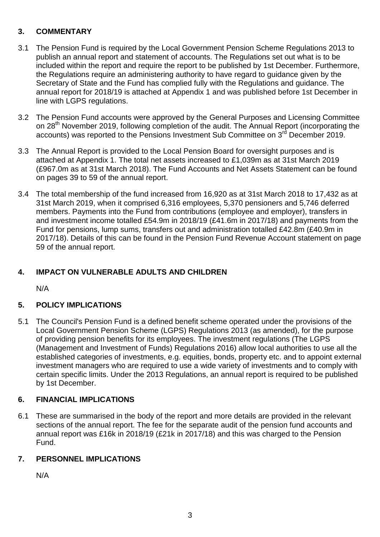# **3. COMMENTARY**

- 3.1 The Pension Fund is required by the Local Government Pension Scheme Regulations 2013 to publish an annual report and statement of accounts. The Regulations set out what is to be included within the report and require the report to be published by 1st December. Furthermore, the Regulations require an administering authority to have regard to guidance given by the Secretary of State and the Fund has complied fully with the Regulations and guidance. The annual report for 2018/19 is attached at Appendix 1 and was published before 1st December in line with LGPS regulations.
- 3.2 The Pension Fund accounts were approved by the General Purposes and Licensing Committee on 28<sup>th</sup> November 2019, following completion of the audit. The Annual Report (incorporating the accounts) was reported to the Pensions Investment Sub Committee on 3<sup>rd</sup> December 2019.
- 3.3 The Annual Report is provided to the Local Pension Board for oversight purposes and is attached at Appendix 1. The total net assets increased to £1,039m as at 31st March 2019 (£967.0m as at 31st March 2018). The Fund Accounts and Net Assets Statement can be found on pages 39 to 59 of the annual report.
- 3.4 The total membership of the fund increased from 16,920 as at 31st March 2018 to 17,432 as at 31st March 2019, when it comprised 6,316 employees, 5,370 pensioners and 5,746 deferred members. Payments into the Fund from contributions (employee and employer), transfers in and investment income totalled £54.9m in 2018/19 (£41.6m in 2017/18) and payments from the Fund for pensions, lump sums, transfers out and administration totalled £42.8m (£40.9m in 2017/18). Details of this can be found in the Pension Fund Revenue Account statement on page 59 of the annual report.

# **4. IMPACT ON VULNERABLE ADULTS AND CHILDREN**

N/A

# **5. POLICY IMPLICATIONS**

5.1 The Council's Pension Fund is a defined benefit scheme operated under the provisions of the Local Government Pension Scheme (LGPS) Regulations 2013 (as amended), for the purpose of providing pension benefits for its employees. The investment regulations (The LGPS (Management and Investment of Funds) Regulations 2016) allow local authorities to use all the established categories of investments, e.g. equities, bonds, property etc. and to appoint external investment managers who are required to use a wide variety of investments and to comply with certain specific limits. Under the 2013 Regulations, an annual report is required to be published by 1st December.

## **6. FINANCIAL IMPLICATIONS**

6.1 These are summarised in the body of the report and more details are provided in the relevant sections of the annual report. The fee for the separate audit of the pension fund accounts and annual report was £16k in 2018/19 (£21k in 2017/18) and this was charged to the Pension Fund.

## **7. PERSONNEL IMPLICATIONS**

N/A